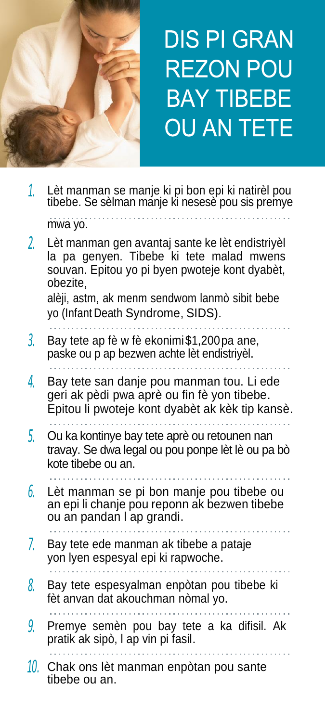

# **DIS PI GRAN REZON POU BAY TIBEBE OU AN TETE**

| 1.  | Lèt manman se manje ki pi bon epi ki natirèl pou<br>tibebe. Se sèlman mánje ki nesesè pou sis premye                                                      |
|-----|-----------------------------------------------------------------------------------------------------------------------------------------------------------|
|     | mwa yo.                                                                                                                                                   |
| 2.  | Lèt manman gen avantaj sante ke lèt endistriyèl<br>la pa genyen. Tibebe ki tete malad mwens<br>souvan. Epitou yo pi byen pwoteje kont dyabèt,<br>obezite, |
|     | alèji, astm, ak menm sendwom lanmò sibit bebe<br>yo (Infant Death Syndrome, SIDS).                                                                        |
| 3.  | Bay tete ap fè w fè ekonimi\$1,200 pa ane,<br>paske ou p ap bezwen achte lèt endistriyèl.                                                                 |
| 4.  | Bay tete san danje pou manman tou. Li ede<br>geri ak pèdi pwa aprè ou fin fè yon tibebe.<br>Epitou li pwoteje kont dyabèt ak kèk tip kansè.               |
| 5.  | Ou ka kontinye bay tete aprè ou retounen nan<br>travay. Se dwa legal ou pou ponpe lèt lè ou pa bò<br>kote tibebe ou an.                                   |
| 6.  | Lèt manman se pi bon manje pou tibebe ou<br>an epi li chanje pou reponn ak bezwen tibebe<br>ou an pandan I ap grandi.                                     |
| 7.  | Bay tete ede manman ak tibebe a pataje<br>yon Iyen espesyal epi ki rapwoche.                                                                              |
| 8.  | Bay tete espesyalman enpòtan pou tibebe ki<br>fèt anvan dat akouchman nòmal yo.                                                                           |
| 9.  | Premye semèn pou bay tete a ka difisil. Ak<br>pratik ak sipò, I ap vin pi fasil.                                                                          |
| 10. | Chak ons lèt manman enpòtan pou sante<br>tibebe ou an.                                                                                                    |